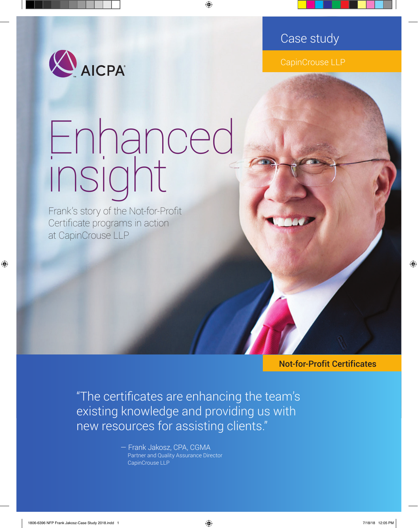

## Case study

CapinCrouse LLP

# Enhanced insight

Frank's story of the Not-for-Profit Certificate programs in action at CapinCrouse LLP

Not-for-Profit Certificates

"The certificates are enhancing the team's existing knowledge and providing us with new resources for assisting clients."

> — Frank Jakosz, CPA, CGMA Partner and Quality Assurance Director CapinCrouse LLP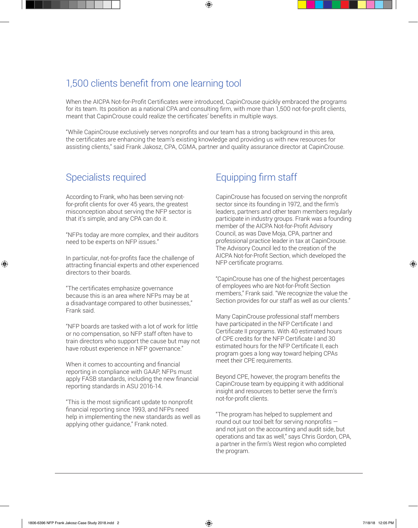#### 1,500 clients benefit from one learning tool

When the AICPA Not-for-Profit Certificates were introduced, CapinCrouse quickly embraced the programs for its team. Its position as a national CPA and consulting firm, with more than 1,500 not-for-profit clients, meant that CapinCrouse could realize the certificates' benefits in multiple ways.

"While CapinCrouse exclusively serves nonprofits and our team has a strong background in this area, the certificates are enhancing the team's existing knowledge and providing us with new resources for assisting clients," said Frank Jakosz, CPA, CGMA, partner and quality assurance director at CapinCrouse.

#### Specialists required

According to Frank, who has been serving notfor-profit clients for over 45 years, the greatest misconception about serving the NFP sector is that it's simple, and any CPA can do it.

"NFPs today are more complex, and their auditors need to be experts on NFP issues."

In particular, not-for-profits face the challenge of attracting financial experts and other experienced directors to their boards.

"The certificates emphasize governance because this is an area where NFPs may be at a disadvantage compared to other businesses," Frank said.

"NFP boards are tasked with a lot of work for little or no compensation, so NFP staff often have to train directors who support the cause but may not have robust experience in NFP governance."

When it comes to accounting and financial reporting in compliance with GAAP, NFPs must apply FASB standards, including the new financial reporting standards in ASU 2016-14.

"This is the most significant update to nonprofit financial reporting since 1993, and NFPs need help in implementing the new standards as well as applying other guidance," Frank noted.

### Equipping firm staff

CapinCrouse has focused on serving the nonprofit sector since its founding in 1972, and the firm's leaders, partners and other team members regularly participate in industry groups. Frank was a founding member of the AICPA Not-for-Profit Advisory Council, as was Dave Moja, CPA, partner and professional practice leader in tax at CapinCrouse. The Advisory Council led to the creation of the AICPA Not-for-Profit Section, which developed the NFP certificate programs.

"CapinCrouse has one of the highest percentages of employees who are Not-for-Profit Section members," Frank said. "We recognize the value the Section provides for our staff as well as our clients."

Many CapinCrouse professional staff members have participated in the NFP Certificate I and Certificate II programs. With 40 estimated hours of CPE credits for the NFP Certificate I and 30 estimated hours for the NFP Certificate II, each program goes a long way toward helping CPAs meet their CPE requirements.

Beyond CPE, however, the program benefits the CapinCrouse team by equipping it with additional insight and resources to better serve the firm's not-for-profit clients.

"The program has helped to supplement and round out our tool belt for serving nonprofits and not just on the accounting and audit side, but operations and tax as well," says Chris Gordon, CPA, a partner in the firm's West region who completed the program.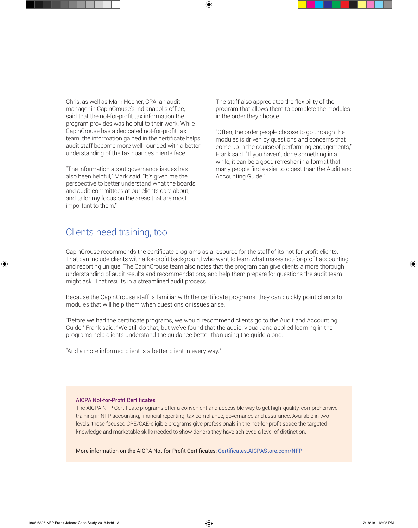Chris, as well as Mark Hepner, CPA, an audit manager in CapinCrouse's Indianapolis office, said that the not-for-profit tax information the program provides was helpful to their work. While CapinCrouse has a dedicated not-for-profit tax team, the information gained in the certificate helps audit staff become more well-rounded with a better understanding of the tax nuances clients face.

"The information about governance issues has also been helpful," Mark said. "It's given me the perspective to better understand what the boards and audit committees at our clients care about, and tailor my focus on the areas that are most important to them."

The staff also appreciates the flexibility of the program that allows them to complete the modules in the order they choose.

"Often, the order people choose to go through the modules is driven by questions and concerns that come up in the course of performing engagements," Frank said. "If you haven't done something in a while, it can be a good refresher in a format that many people find easier to digest than the Audit and Accounting Guide."

#### Clients need training, too

CapinCrouse recommends the certificate programs as a resource for the staff of its not-for-profit clients. That can include clients with a for-profit background who want to learn what makes not-for-profit accounting and reporting unique. The CapinCrouse team also notes that the program can give clients a more thorough understanding of audit results and recommendations, and help them prepare for questions the audit team might ask. That results in a streamlined audit process.

Because the CapinCrouse staff is familiar with the certificate programs, they can quickly point clients to modules that will help them when questions or issues arise.

"Before we had the certificate programs, we would recommend clients go to the Audit and Accounting Guide," Frank said. "We still do that, but we've found that the audio, visual, and applied learning in the programs help clients understand the guidance better than using the guide alone.

"And a more informed client is a better client in every way."

#### AICPA Not-for-Profit Certificates

The AICPA NFP Certificate programs offer a convenient and accessible way to get high-quality, comprehensive training in NFP accounting, financial reporting, tax compliance, governance and assurance. Available in two levels, these focused CPE/CAE-eligible programs give professionals in the not-for-profit space the targeted knowledge and marketable skills needed to show donors they have achieved a level of distinction.

More information on the AICPA Not-for-Profit Certificates: Certificates.AICPAStore.com/NFP